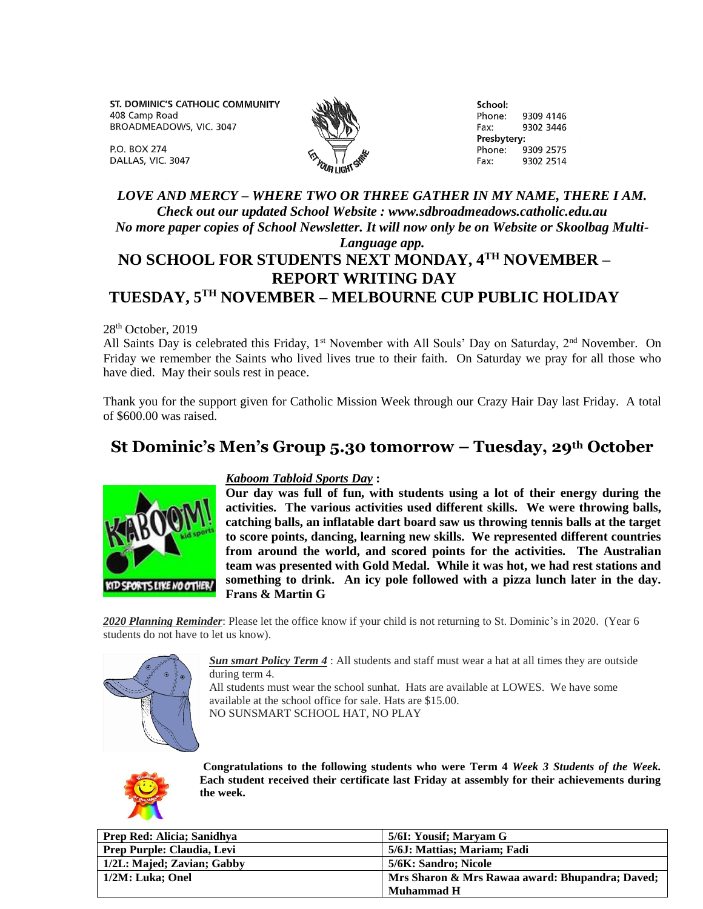ST. DOMINIC'S CATHOLIC COMMUNITY 408 Camp Road BROADMEADOWS, VIC. 3047



School: Phone: 9309 4146 9302 3446 Fax: Presbytery: Phone: 9309 2575 Fax: 9302 2514

DALLAS, VIC. 3047

## *LOVE AND MERCY – WHERE TWO OR THREE GATHER IN MY NAME, THERE I AM. Check out our updated School Website : www.sdbroadmeadows.catholic.edu.au No more paper copies of School Newsletter. It will now only be on Website or Skoolbag Multi-*

## *Language app.*

## **NO SCHOOL FOR STUDENTS NEXT MONDAY, 4TH NOVEMBER – REPORT WRITING DAY TUESDAY, 5TH NOVEMBER – MELBOURNE CUP PUBLIC HOLIDAY**

28<sup>th</sup> October, 2019

P.O. BOX 274

All Saints Day is celebrated this Friday, 1<sup>st</sup> November with All Souls' Day on Saturday, 2<sup>nd</sup> November. On Friday we remember the Saints who lived lives true to their faith. On Saturday we pray for all those who have died. May their souls rest in peace.

Thank you for the support given for Catholic Mission Week through our Crazy Hair Day last Friday. A total of \$600.00 was raised.

# **St Dominic's Men's Group 5.30 tomorrow – Tuesday, 29th October**



### *Kaboom Tabloid Sports Day* **:**

**Our day was full of fun, with students using a lot of their energy during the activities. The various activities used different skills. We were throwing balls, catching balls, an inflatable dart board saw us throwing tennis balls at the target to score points, dancing, learning new skills. We represented different countries from around the world, and scored points for the activities. The Australian team was presented with Gold Medal. While it was hot, we had rest stations and something to drink. An icy pole followed with a pizza lunch later in the day. Frans & Martin G** 

*2020 Planning Reminder*: Please let the office know if your child is not returning to St. Dominic's in 2020. (Year 6 students do not have to let us know).



*Sun smart Policy Term 4* : All students and staff must wear a hat at all times they are outside during term 4.

All students must wear the school sunhat. Hats are available at LOWES. We have some available at the school office for sale. Hats are \$15.00. NO SUNSMART SCHOOL HAT, NO PLAY



**Congratulations to the following students who were Term 4** *Week 3 Students of the Week.*  **Each student received their certificate last Friday at assembly for their achievements during the week.**

| Prep Red: Alicia; Sanidhya | 5/6I: Yousif; Maryam G                          |
|----------------------------|-------------------------------------------------|
| Prep Purple: Claudia, Levi | 5/6J: Mattias: Mariam: Fadi                     |
| 1/2L: Majed; Zavian; Gabby | 5/6K: Sandro: Nicole                            |
| 1/2M: Luka; Onel           | Mrs Sharon & Mrs Rawaa award: Bhupandra; Daved; |
|                            | Muhammad H                                      |